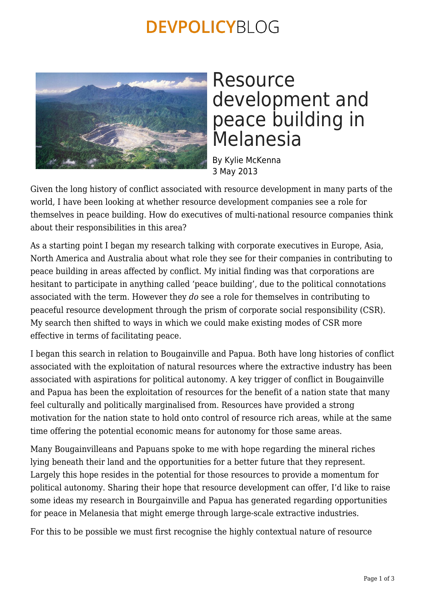## **DEVPOLICYBLOG**



### Resource development and peace building in Melanesia

By Kylie McKenna 3 May 2013

Given the long history of conflict associated with resource development in many parts of the world, I have been looking at whether resource development companies see a role for themselves in peace building. How do executives of multi-national resource companies think about their responsibilities in this area?

As a starting point I began my research talking with corporate executives in Europe, Asia, North America and Australia about what role they see for their companies in contributing to peace building in areas affected by conflict. My initial finding was that corporations are hesitant to participate in anything called 'peace building', due to the political connotations associated with the term. However they *do* see a role for themselves in contributing to peaceful resource development through the prism of corporate social responsibility (CSR). My search then shifted to ways in which we could make existing modes of CSR more effective in terms of facilitating peace.

I began this search in relation to Bougainville and Papua. Both have long histories of conflict associated with the exploitation of natural resources where the extractive industry has been associated with aspirations for political autonomy. A key trigger of conflict in Bougainville and Papua has been the exploitation of resources for the benefit of a nation state that many feel culturally and politically marginalised from. Resources have provided a strong motivation for the nation state to hold onto control of resource rich areas, while at the same time offering the potential economic means for autonomy for those same areas.

Many Bougainvilleans and Papuans spoke to me with hope regarding the mineral riches lying beneath their land and the opportunities for a better future that they represent. Largely this hope resides in the potential for those resources to provide a momentum for political autonomy. Sharing their hope that resource development can offer, I'd like to raise some ideas my research in Bourgainville and Papua has generated regarding opportunities for peace in Melanesia that might emerge through large-scale extractive industries.

For this to be possible we must first recognise the highly contextual nature of resource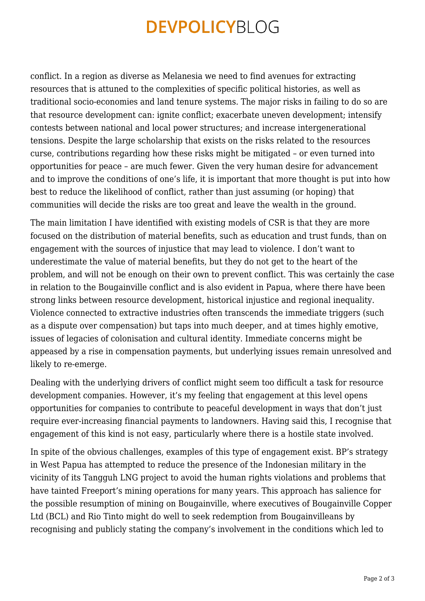## **DEVPOLICYBLOG**

conflict. In a region as diverse as Melanesia we need to find avenues for extracting resources that is attuned to the complexities of specific political histories, as well as traditional socio-economies and land tenure systems. The major risks in failing to do so are that resource development can: ignite conflict; exacerbate uneven development; intensify contests between national and local power structures; and increase intergenerational tensions. Despite the large scholarship that exists on the risks related to the resources curse, contributions regarding how these risks might be mitigated – or even turned into opportunities for peace – are much fewer. Given the very human desire for advancement and to improve the conditions of one's life, it is important that more thought is put into how best to reduce the likelihood of conflict, rather than just assuming (or hoping) that communities will decide the risks are too great and leave the wealth in the ground.

The main limitation I have identified with existing models of CSR is that they are more focused on the distribution of material benefits, such as education and trust funds, than on engagement with the sources of injustice that may lead to violence. I don't want to underestimate the value of material benefits, but they do not get to the heart of the problem, and will not be enough on their own to prevent conflict. This was certainly the case in relation to the Bougainville conflict and is also evident in Papua, where there have been strong links between resource development, historical injustice and regional inequality. Violence connected to extractive industries often transcends the immediate triggers (such as a dispute over compensation) but taps into much deeper, and at times highly emotive, issues of legacies of colonisation and cultural identity. Immediate concerns might be appeased by a rise in compensation payments, but underlying issues remain unresolved and likely to re-emerge.

Dealing with the underlying drivers of conflict might seem too difficult a task for resource development companies. However, it's my feeling that engagement at this level opens opportunities for companies to contribute to peaceful development in ways that don't just require ever-increasing financial payments to landowners. Having said this, I recognise that engagement of this kind is not easy, particularly where there is a hostile state involved.

In spite of the obvious challenges, examples of this type of engagement exist. BP's strategy in West Papua has attempted to reduce the presence of the Indonesian military in the vicinity of its Tangguh LNG project to avoid the human rights violations and problems that have tainted Freeport's mining operations for many years. This approach has salience for the possible resumption of mining on Bougainville, where executives of Bougainville Copper Ltd (BCL) and Rio Tinto might do well to seek redemption from Bougainvilleans by recognising and publicly stating the company's involvement in the conditions which led to